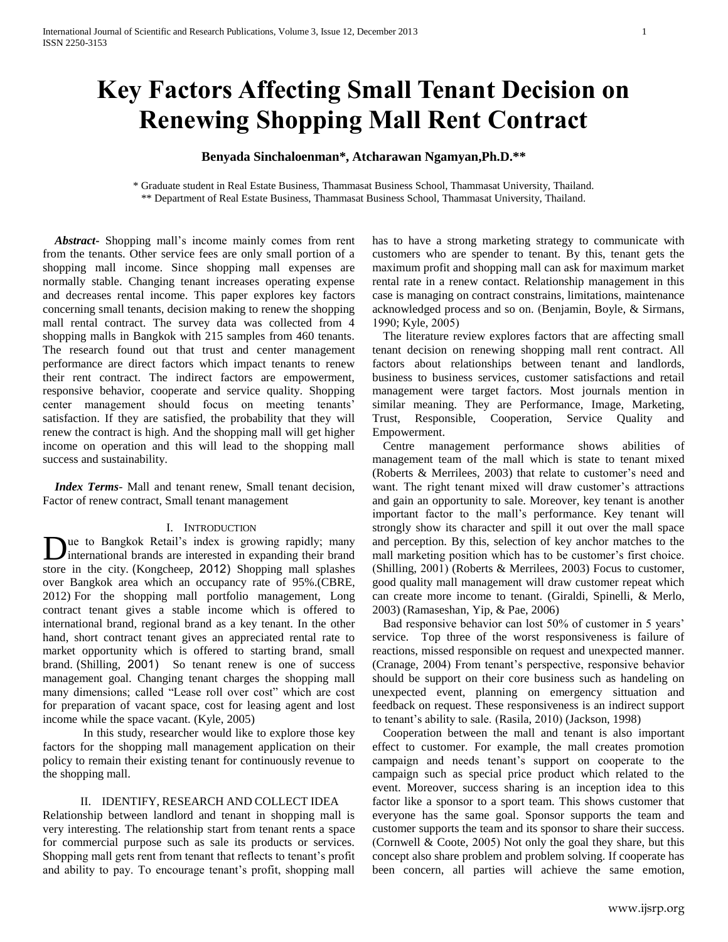# **Key Factors Affecting Small Tenant Decision on Renewing Shopping Mall Rent Contract**

## **Benyada Sinchaloenman\*, Atcharawan Ngamyan,Ph.D.\*\***

\* Graduate student in Real Estate Business, Thammasat Business School, Thammasat University, Thailand. \*\* Department of Real Estate Business, Thammasat Business School, Thammasat University, Thailand.

 *Abstract***-** Shopping mall's income mainly comes from rent from the tenants. Other service fees are only small portion of a shopping mall income. Since shopping mall expenses are normally stable. Changing tenant increases operating expense and decreases rental income. This paper explores key factors concerning small tenants, decision making to renew the shopping mall rental contract. The survey data was collected from 4 shopping malls in Bangkok with 215 samples from 460 tenants. The research found out that trust and center management performance are direct factors which impact tenants to renew their rent contract. The indirect factors are empowerment, responsive behavior, cooperate and service quality. Shopping center management should focus on meeting tenants' satisfaction. If they are satisfied, the probability that they will renew the contract is high. And the shopping mall will get higher income on operation and this will lead to the shopping mall success and sustainability.

 *Index Terms*- Mall and tenant renew, Small tenant decision, Factor of renew contract, Small tenant management

## I. INTRODUCTION

ue to Bangkok Retail's index is growing rapidly; many Due to Bangkok Retail's index is growing rapidly; many international brands are interested in expanding their brand store in the city. ([Kongcheep,](#page-4-0) 2012) Shopping mall splashes over Bangkok area which an occupancy rate of 95%.[\(CBRE,](#page-3-0)  [2012\)](#page-3-0) For the shopping mall portfolio management, Long contract tenant gives a stable income which is offered to international brand, regional brand as a key tenant. In the other hand, short contract tenant gives an appreciated rental rate to market opportunity which is offered to starting brand, small brand. ([Shilling,](#page-4-1) 2001) So tenant renew is one of success management goal. Changing tenant charges the shopping mall many dimensions; called "Lease roll over cost" which are cost for preparation of vacant space, cost for leasing agent and lost income while the space vacant. [\(Kyle, 2005\)](#page-4-2)

In this study, researcher would like to explore those key factors for the shopping mall management application on their policy to remain their existing tenant for continuously revenue to the shopping mall.

## II. IDENTIFY, RESEARCH AND COLLECT IDEA

Relationship between landlord and tenant in shopping mall is very interesting. The relationship start from tenant rents a space for commercial purpose such as sale its products or services. Shopping mall gets rent from tenant that reflects to tenant's profit and ability to pay. To encourage tenant's profit, shopping mall

has to have a strong marketing strategy to communicate with customers who are spender to tenant. By this, tenant gets the maximum profit and shopping mall can ask for maximum market rental rate in a renew contact. Relationship management in this case is managing on contract constrains, limitations, maintenance acknowledged process and so on. [\(Benjamin, Boyle, & Sirmans,](#page-3-1)  [1990;](#page-3-1) [Kyle, 2005\)](#page-4-2)

The literature review explores factors that are affecting small tenant decision on renewing shopping mall rent contract. All factors about relationships between tenant and landlords, business to business services, customer satisfactions and retail management were target factors. Most journals mention in similar meaning. They are Performance, Image, Marketing, Trust, Responsible, Cooperation, Service Quality and Empowerment.

Centre management performance shows abilities of management team of the mall which is state to tenant mixed [\(Roberts & Merrilees, 2003\)](#page-4-3) that relate to customer's need and want. The right tenant mixed will draw customer's attractions and gain an opportunity to sale. Moreover, key tenant is another important factor to the mall's performance. Key tenant will strongly show its character and spill it out over the mall space and perception. By this, selection of key anchor matches to the mall marketing position which has to be customer's first choice. [\(Shilling, 2001\)](#page-4-1) [\(Roberts & Merrilees, 2003\)](#page-4-3) Focus to customer, good quality mall management will draw customer repeat which can create more income to tenant. [\(Giraldi, Spinelli, & Merlo,](#page-3-2)  [2003\)](#page-3-2) [\(Ramaseshan, Yip, & Pae, 2006\)](#page-4-4)

Bad responsive behavior can lost 50% of customer in 5 years' service. Top three of the worst responsiveness is failure of reactions, missed responsible on request and unexpected manner. [\(Cranage, 2004\)](#page-4-5) From tenant's perspective, responsive behavior should be support on their core business such as handeling on unexpected event, planning on emergency sittuation and feedback on request. These responsiveness is an indirect support to tenant's ability to sale. [\(Rasila, 2010\)](#page-4-6) [\(Jackson, 1998\)](#page-4-5)

Cooperation between the mall and tenant is also important effect to customer. For example, the mall creates promotion campaign and needs tenant's support on cooperate to the campaign such as special price product which related to the event. Moreover, success sharing is an inception idea to this factor like a sponsor to a sport team. This shows customer that everyone has the same goal. Sponsor supports the team and customer supports the team and its sponsor to share their success. [\(Cornwell & Coote, 2005\)](#page-3-3) Not only the goal they share, but this concept also share problem and problem solving. If cooperate has been concern, all parties will achieve the same emotion,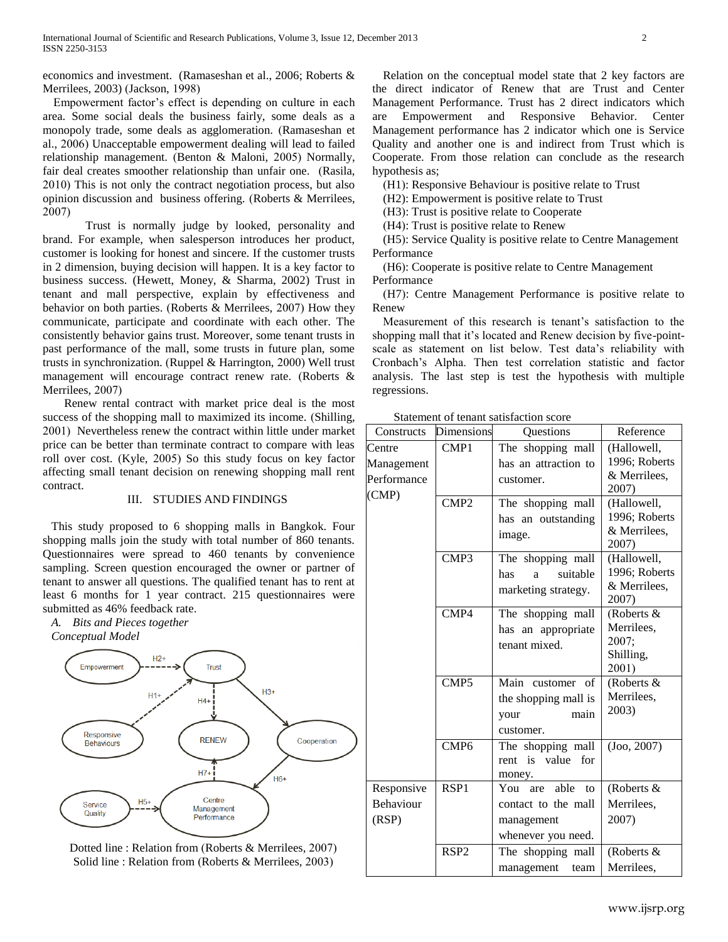economics and investment. [\(Ramaseshan et al., 2006;](#page-4-4) [Roberts &](#page-4-3)  [Merrilees, 2003\)](#page-4-3) [\(Jackson, 1998\)](#page-4-5)

Empowerment factor's effect is depending on culture in each area. Some social deals the business fairly, some deals as a monopoly trade, some deals as agglomeration. [\(Ramaseshan et](#page-4-4)  [al., 2006\)](#page-4-4) Unacceptable empowerment dealing will lead to failed relationship management. [\(Benton & Maloni, 2005\)](#page-3-4) Normally, fair deal creates smoother relationship than unfair one. [\(Rasila,](#page-4-6)  [2010\)](#page-4-6) This is not only the contract negotiation process, but also opinion discussion and business offering. [\(Roberts & Merrilees,](#page-4-7)  [2007\)](#page-4-7)

Trust is normally judge by looked, personality and brand. For example, when salesperson introduces her product, customer is looking for honest and sincere. If the customer trusts in 2 dimension, buying decision will happen. It is a key factor to business success. [\(Hewett, Money, & Sharma, 2002\)](#page-4-8) Trust in tenant and mall perspective, explain by effectiveness and behavior on both parties. [\(Roberts & Merrilees, 2007\)](#page-4-7) How they communicate, participate and coordinate with each other. The consistently behavior gains trust. Moreover, some tenant trusts in past performance of the mall, some trusts in future plan, some trusts in synchronization. [\(Ruppel & Harrington, 2000\)](#page-4-9) Well trust management will encourage contract renew rate. [\(Roberts &](#page-4-7)  [Merrilees, 2007\)](#page-4-7)

Renew rental contract with market price deal is the most success of the shopping mall to maximized its income. [\(Shilling,](#page-4-1)  [2001\)](#page-4-1) Nevertheless renew the contract within little under market price can be better than terminate contract to compare with leas roll over cost. [\(Kyle, 2005\)](#page-4-2) So this study focus on key factor affecting small tenant decision on renewing shopping mall rent contract.

## III. STUDIES AND FINDINGS

This study proposed to 6 shopping malls in Bangkok. Four shopping malls join the study with total number of 860 tenants. Questionnaires were spread to 460 tenants by convenience sampling. Screen question encouraged the owner or partner of tenant to answer all questions. The qualified tenant has to rent at least 6 months for 1 year contract. 215 questionnaires were submitted as 46% feedback rate.

*A. Bits and Pieces together*





Dotted line : Relation from (Roberts & [Merrilees, 2007\)](#page-4-7) Solid line : Relation from [\(Roberts & Merrilees, 2003\)](#page-4-3)

Relation on the conceptual model state that 2 key factors are the direct indicator of Renew that are Trust and Center Management Performance. Trust has 2 direct indicators which are Empowerment and Responsive Behavior. Center Management performance has 2 indicator which one is Service Quality and another one is and indirect from Trust which is Cooperate. From those relation can conclude as the research hypothesis as;

(H1): Responsive Behaviour is positive relate to Trust

(H2): Empowerment is positive relate to Trust

(H3): Trust is positive relate to Cooperate

(H4): Trust is positive relate to Renew

(H5): Service Quality is positive relate to Centre Management Performance

(H6): Cooperate is positive relate to Centre Management Performance

(H7): Centre Management Performance is positive relate to Renew

Measurement of this research is tenant's satisfaction to the shopping mall that it's located and Renew decision by five-pointscale as statement on list below. Test data's reliability with Cronbach's Alpha. Then test correlation statistic and factor analysis. The last step is test the hypothesis with multiple regressions.

Statement of tenant satisfaction score

| Constructs                              | <b>Dimensions</b> | Questions                                                                           | Reference                                               |
|-----------------------------------------|-------------------|-------------------------------------------------------------------------------------|---------------------------------------------------------|
| Centre<br>Management<br>Performance     | CMP1              | The shopping mall<br>has an attraction to<br>customer.                              | (Hallowell,<br>1996; Roberts<br>& Merrilees,<br>2007)   |
| (CMP)                                   | CMP <sub>2</sub>  | The shopping mall<br>has an outstanding<br>image.                                   | (Hallowell,<br>1996; Roberts<br>& Merrilees,<br>2007)   |
|                                         | CMP3              | The shopping mall<br>suitable<br>has<br>a<br>marketing strategy.                    | (Hallowell,<br>1996; Roberts<br>& Merrilees,<br>2007)   |
|                                         | CMP4              | The shopping mall<br>has an appropriate<br>tenant mixed.                            | (Roberts &<br>Merrilees,<br>2007;<br>Shilling,<br>2001) |
|                                         | CMP <sub>5</sub>  | Main customer of<br>the shopping mall is<br>main<br>your<br>customer.               | (Roberts &<br>Merrilees,<br>2003)                       |
|                                         | CMP <sub>6</sub>  | The shopping mall<br>rent is value<br>for<br>money.                                 | (Joo, 2007)                                             |
| Responsive<br><b>Behaviour</b><br>(RSP) | RSP <sub>1</sub>  | able<br>You<br>are<br>to<br>contact to the mall<br>management<br>whenever you need. | (Roberts &<br>Merrilees,<br>2007)                       |
|                                         | RSP <sub>2</sub>  | The shopping mall<br>management<br>team                                             | (Roberts &<br>Merrilees,                                |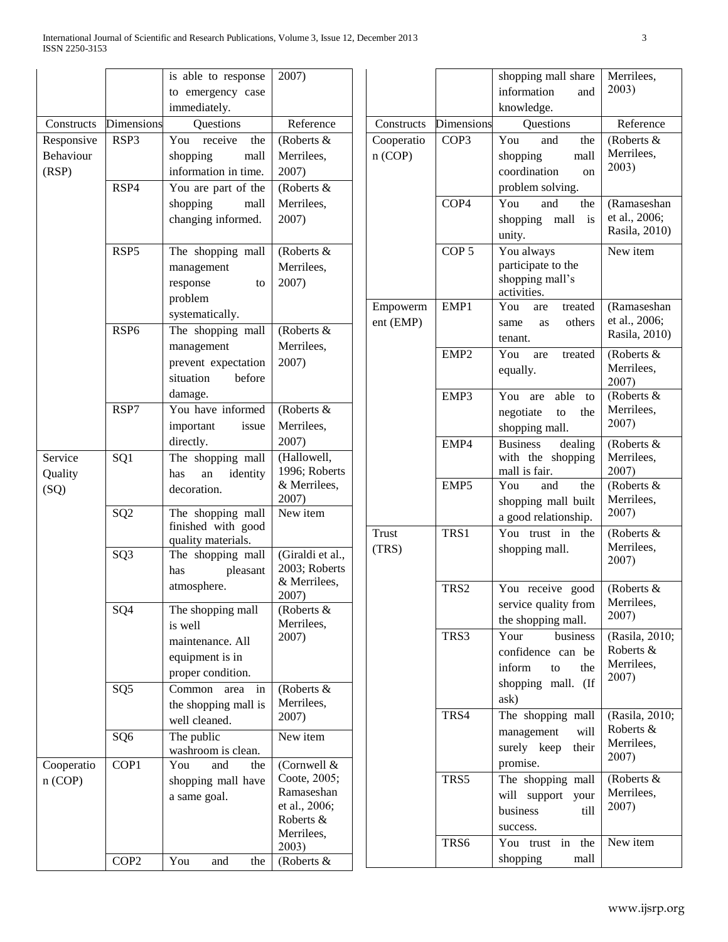|            |                  | is able to response   | 2007)                      |                |
|------------|------------------|-----------------------|----------------------------|----------------|
|            |                  | to emergency case     |                            |                |
|            |                  | immediately.          |                            |                |
| Constructs | Dimensions       | Questions             | Reference                  | C <sub>0</sub> |
| Responsive | RSP3             | You<br>receive<br>the | (Roberts &                 | Co             |
| Behaviour  |                  | shopping<br>mall      | Merrilees,                 | n(             |
| (RSP)      |                  | information in time.  | 2007)                      |                |
|            | RSP4             | You are part of the   | (Roberts &                 |                |
|            |                  | shopping<br>mall      | Merrilees,                 |                |
|            |                  | changing informed.    | 2007)                      |                |
|            |                  |                       |                            |                |
|            | RSP5             | The shopping mall     | (Roberts &                 |                |
|            |                  | management            | Merrilees,                 |                |
|            |                  | response<br>to        | 2007)                      |                |
|            |                  | problem               |                            |                |
|            |                  | systematically.       |                            | En             |
|            | RSP <sub>6</sub> | The shopping mall     | (Roberts &                 | ent            |
|            |                  | management            | Merrilees,                 |                |
|            |                  | prevent expectation   | 2007)                      |                |
|            |                  | situation<br>before   |                            |                |
|            |                  | damage.               |                            |                |
|            | RSP7             | You have informed     | (Roberts &                 |                |
|            |                  | important<br>issue    | Merrilees,                 |                |
|            |                  | directly.             | 2007)                      |                |
| Service    | SQ1              | The shopping mall     | (Hallowell,                |                |
| Quality    |                  | identity<br>has<br>an | 1996; Roberts              |                |
| (SQ)       |                  | decoration.           | & Merrilees,               |                |
|            |                  |                       | 2007)                      |                |
|            | SQ <sub>2</sub>  | The shopping mall     | New item                   |                |
|            |                  | finished with good    |                            | Tn             |
|            |                  | quality materials.    | (Giraldi et al.,           | (T)            |
|            | SQ <sub>3</sub>  | The shopping mall     | 2003; Roberts              |                |
|            |                  | pleasant<br>has       | & Merrilees,               |                |
|            |                  | atmosphere.           | 2007)                      |                |
|            | SQ4              | The shopping mall     | (Roberts &                 |                |
|            |                  | is well               | Merrilees,                 |                |
|            |                  | maintenance. All      | 2007)                      |                |
|            |                  | equipment is in       |                            |                |
|            |                  | proper condition.     |                            |                |
|            | SQ <sub>5</sub>  | Common<br>area<br>in  | (Roberts &                 |                |
|            |                  | the shopping mall is  | Merrilees,                 |                |
|            |                  | well cleaned.         | 2007)                      |                |
|            | SQ <sub>6</sub>  | The public            | New item                   |                |
|            |                  | washroom is clean.    |                            |                |
| Cooperatio | COP1             | You<br>and<br>the     | (Cornwell &                |                |
| n (COP)    |                  | shopping mall have    | Coote, 2005;               |                |
|            |                  | a same goal.          | Ramaseshan                 |                |
|            |                  |                       | et al., 2006;<br>Roberts & |                |
|            |                  |                       | Merrilees,                 |                |
|            |                  |                       | 2003)                      |                |
|            | COP <sub>2</sub> | You<br>and<br>the     | (Roberts &                 |                |

|                       |                   | shopping mall share                                                                                 | Merrilees,                                         |
|-----------------------|-------------------|-----------------------------------------------------------------------------------------------------|----------------------------------------------------|
|                       |                   | information<br>and                                                                                  | 2003)                                              |
|                       |                   | knowledge.                                                                                          |                                                    |
| Constructs            | <b>Dimensions</b> | Questions                                                                                           | Reference                                          |
| Cooperatio<br>n (COP) | COP3              | You<br>and<br>the<br>shopping<br>mall<br>coordination<br>on<br>problem solving.                     | (Roberts &<br>Merrilees,<br>2003)                  |
|                       | COP4              | You<br>and<br>the<br>shopping<br>mall<br>is<br>unity.                                               | (Ramaseshan<br>et al., 2006;<br>Rasila, 2010)      |
|                       | COP <sub>5</sub>  | You always<br>participate to the<br>shopping mall's<br>activities.                                  | New item                                           |
| Empowerm<br>ent (EMP) | EMP1              | You<br>treated<br>are<br>others<br>same<br>as<br>tenant.                                            | (Ramaseshan<br>et al., 2006;<br>Rasila, 2010)      |
|                       | EMP <sub>2</sub>  | You<br>treated<br>are<br>equally.                                                                   | (Roberts &<br>Merrilees,<br>2007)                  |
|                       | EMP3              | You<br>able<br>are<br>to<br>negotiate<br>the<br>to<br>shopping mall.                                | (Roberts &<br>Merrilees,<br>2007)                  |
|                       | EMP4              | <b>Business</b><br>dealing<br>with the<br>shopping<br>mall is fair.                                 | (Roberts &<br>Merrilees,<br>2007)                  |
|                       | EMP5              | You<br>the<br>and<br>shopping mall built<br>a good relationship.                                    | (Roberts &<br>Merrilees,<br>2007)                  |
| Trust<br>(TRS)        | TRS1              | You<br>in<br>the<br>trust<br>shopping mall.                                                         | (Roberts &<br>Merrilees,<br>2007)                  |
|                       | TRS2              | You receive<br>good<br>service quality from<br>the shopping mall.                                   | (Roberts &<br>Merrilees,<br>2007)                  |
|                       | TRS3              | Your<br>business<br>confidence can be<br>inform<br>to<br>the<br>shopping<br>mall.<br>$($ If<br>ask) | (Rasila, 2010;<br>Roberts &<br>Merrilees,<br>2007) |
|                       | TRS4              | The shopping mall<br>management<br>will<br>surely keep<br>their<br>promise.                         | (Rasila, 2010;<br>Roberts &<br>Merrilees,<br>2007) |
|                       | TRS5              | The shopping mall<br>will<br>support<br>your<br>business<br>till<br>success.                        | (Roberts &<br>Merrilees,<br>2007)                  |
|                       | TRS6              | You<br>in<br>the<br>trust<br>shopping<br>mall                                                       | New item                                           |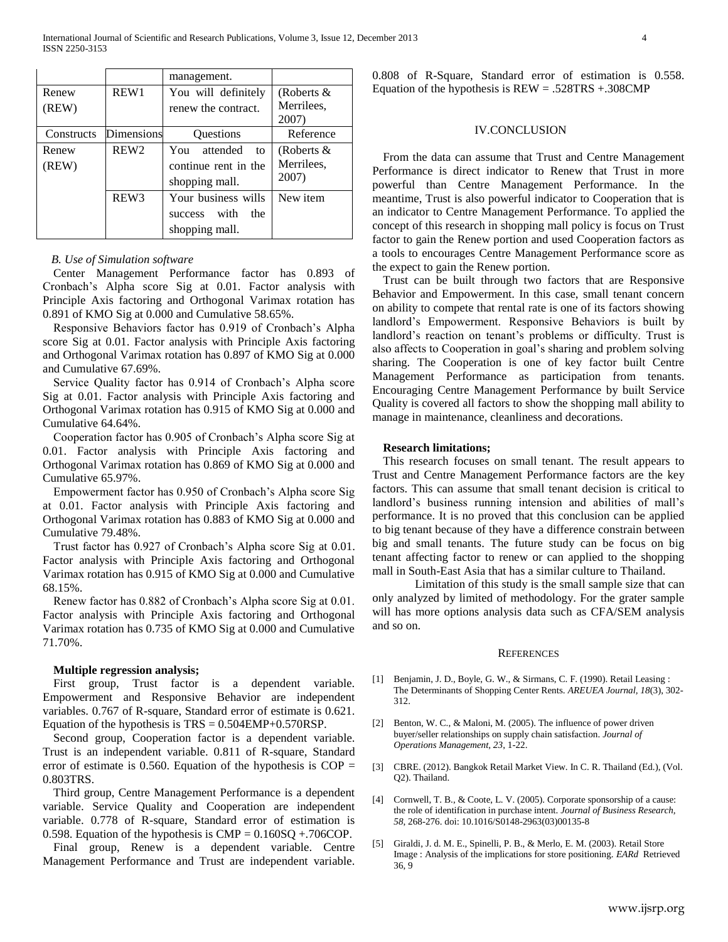|            |                  | management.            |               |
|------------|------------------|------------------------|---------------|
| Renew      | REW1             | You will definitely    | (Roberts $\&$ |
| (REW)      |                  | renew the contract.    | Merrilees,    |
|            |                  |                        | 2007)         |
| Constructs | Dimensions       | <b>Ouestions</b>       | Reference     |
| Renew      | REW <sub>2</sub> | You<br>attended<br>to  | (Roberts $\&$ |
| (REW)      |                  | continue rent in the   | Merrilees,    |
|            |                  | shopping mall.         | 2007)         |
|            | REW <sub>3</sub> | Your business wills    | New item      |
|            |                  | with<br>the<br>success |               |
|            |                  | shopping mall.         |               |

### *B. Use of Simulation software*

Center Management Performance factor has 0.893 of Cronbach's Alpha score Sig at 0.01. Factor analysis with Principle Axis factoring and Orthogonal Varimax rotation has 0.891 of KMO Sig at 0.000 and Cumulative 58.65%.

Responsive Behaviors factor has 0.919 of Cronbach's Alpha score Sig at 0.01. Factor analysis with Principle Axis factoring and Orthogonal Varimax rotation has 0.897 of KMO Sig at 0.000 and Cumulative 67.69%.

Service Quality factor has 0.914 of Cronbach's Alpha score Sig at 0.01. Factor analysis with Principle Axis factoring and Orthogonal Varimax rotation has 0.915 of KMO Sig at 0.000 and Cumulative 64.64%.

Cooperation factor has 0.905 of Cronbach's Alpha score Sig at 0.01. Factor analysis with Principle Axis factoring and Orthogonal Varimax rotation has 0.869 of KMO Sig at 0.000 and Cumulative 65.97%.

Empowerment factor has 0.950 of Cronbach's Alpha score Sig at 0.01. Factor analysis with Principle Axis factoring and Orthogonal Varimax rotation has 0.883 of KMO Sig at 0.000 and Cumulative 79.48%.

Trust factor has 0.927 of Cronbach's Alpha score Sig at 0.01. Factor analysis with Principle Axis factoring and Orthogonal Varimax rotation has 0.915 of KMO Sig at 0.000 and Cumulative 68.15%.

Renew factor has 0.882 of Cronbach's Alpha score Sig at 0.01. Factor analysis with Principle Axis factoring and Orthogonal Varimax rotation has 0.735 of KMO Sig at 0.000 and Cumulative 71.70%.

#### **Multiple regression analysis;**

First group, Trust factor is a dependent variable. Empowerment and Responsive Behavior are independent variables. 0.767 of R-square, Standard error of estimate is 0.621. Equation of the hypothesis is  $TRS = 0.504 EMP + 0.570 RSP$ .

Second group, Cooperation factor is a dependent variable. Trust is an independent variable. 0.811 of R-square, Standard error of estimate is 0.560. Equation of the hypothesis is  $COP =$ 0.803TRS.

Third group, Centre Management Performance is a dependent variable. Service Quality and Cooperation are independent variable. 0.778 of R-square, Standard error of estimation is 0.598. Equation of the hypothesis is  $CMP = 0.160SQ + .706COP$ .

Final group, Renew is a dependent variable. Centre Management Performance and Trust are independent variable. 0.808 of R-Square, Standard error of estimation is 0.558. Equation of the hypothesis is  $REW = .528TRS + .308CMP$ 

## IV.CONCLUSION

From the data can assume that Trust and Centre Management Performance is direct indicator to Renew that Trust in more powerful than Centre Management Performance. In the meantime, Trust is also powerful indicator to Cooperation that is an indicator to Centre Management Performance. To applied the concept of this research in shopping mall policy is focus on Trust factor to gain the Renew portion and used Cooperation factors as a tools to encourages Centre Management Performance score as the expect to gain the Renew portion.

Trust can be built through two factors that are Responsive Behavior and Empowerment. In this case, small tenant concern on ability to compete that rental rate is one of its factors showing landlord's Empowerment. Responsive Behaviors is built by landlord's reaction on tenant's problems or difficulty. Trust is also affects to Cooperation in goal's sharing and problem solving sharing. The Cooperation is one of key factor built Centre Management Performance as participation from tenants. Encouraging Centre Management Performance by built Service Quality is covered all factors to show the shopping mall ability to manage in maintenance, cleanliness and decorations.

#### **Research limitations;**

This research focuses on small tenant. The result appears to Trust and Centre Management Performance factors are the key factors. This can assume that small tenant decision is critical to landlord's business running intension and abilities of mall's performance. It is no proved that this conclusion can be applied to big tenant because of they have a difference constrain between big and small tenants. The future study can be focus on big tenant affecting factor to renew or can applied to the shopping mall in South-East Asia that has a similar culture to Thailand.

Limitation of this study is the small sample size that can only analyzed by limited of methodology. For the grater sample will has more options analysis data such as CFA/SEM analysis and so on.

#### **REFERENCES**

- <span id="page-3-1"></span>[1] Benjamin, J. D., Boyle, G. W., & Sirmans, C. F. (1990). Retail Leasing : The Determinants of Shopping Center Rents. *AREUEA Journal, 18*(3), 302- 312.
- <span id="page-3-4"></span>[2] Benton, W. C., & Maloni, M. (2005). The influence of power driven buyer/seller relationships on supply chain satisfaction. *Journal of Operations Management, 23*, 1-22.
- <span id="page-3-0"></span>[3] CBRE. (2012). Bangkok Retail Market View. In C. R. Thailand (Ed.), (Vol. Q2). Thailand.
- <span id="page-3-3"></span>[4] Cornwell, T. B., & Coote, L. V. (2005). Corporate sponsorship of a cause: the role of identification in purchase intent. *Journal of Business Research, 58*, 268-276. doi: 10.1016/S0148-2963(03)00135-8
- <span id="page-3-2"></span>[5] Giraldi, J. d. M. E., Spinelli, P. B., & Merlo, E. M. (2003). Retail Store Image : Analysis of the implications for store positioning. *EARd* Retrieved 36, 9